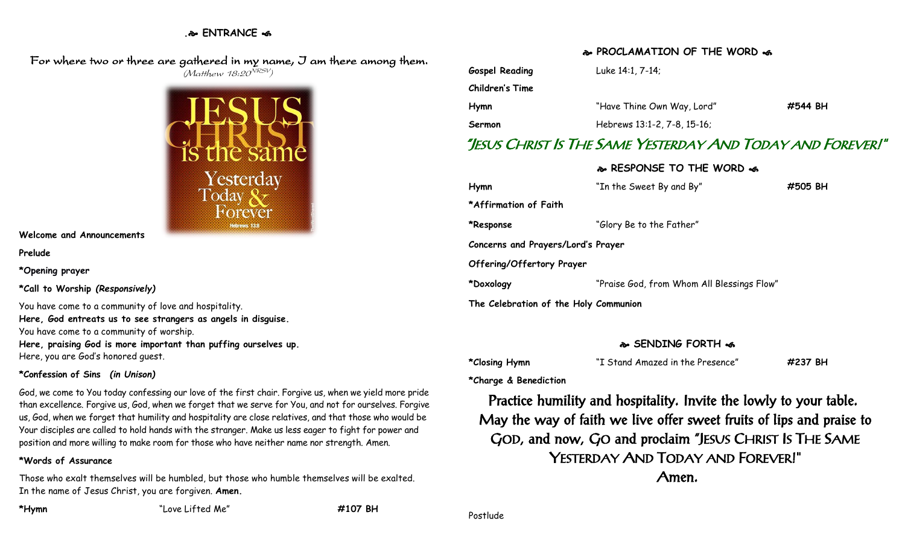## **. ENTRANCE**

 For where two or three are gathered in my name, I am there among them.  $(M$ atthew 18:20 $^{VRSV})$ 



**Welcome and Announcements**

**Prelude**

**\*Opening prayer**

**\*Call to Worship** *(Responsively)*

You have come to a community of love and hospitality. **Here, God entreats us to see strangers as angels in disguise.** You have come to a community of worship. **Here, praising God is more important than puffing ourselves up.** Here, you are God's honored guest.

## **\*Confession of Sins** *(in Unison)*

God, we come to You today confessing our love of the first chair. Forgive us, when we yield more pride than excellence. Forgive us, God, when we forget that we serve for You, and not for ourselves. Forgive us, God, when we forget that humility and hospitality are close relatives, and that those who would be Your disciples are called to hold hands with the stranger. Make us less eager to fight for power and position and more willing to make room for those who have neither name nor strength. Amen.

## **\*Words of Assurance**

Those who exalt themselves will be humbled, but those who humble themselves will be exalted. In the name of Jesus Christ, you are forgiven. **Amen.**

**\*Hymn** "Love Lifted Me" **#107 BH**

**PROCLAMATION OF THE WORD** 

| <b>Gospel Reading</b> | Luke 14:1, 7-14;            |         |
|-----------------------|-----------------------------|---------|
| Children's Time       |                             |         |
| Hymn                  | "Have Thine Own Way, Lord"  | #544 BH |
| Sermon                | Hebrews 13:1-2, 7-8, 15-16; |         |

# "JESUS CHRIST IS THE SAME YESTERDAY AND TODAY AND FOREVER!"

 **RESPONSE TO THE WORD Hymn** "In the Sweet By and By" **#505 BH \*Affirmation of Faith \*Response** "Glory Be to the Father" **Concerns and Prayers/Lord's Prayer Offering/Offertory Prayer \*Doxology** "Praise God, from Whom All Blessings Flow" **The Celebration of the Holy Communion**

## **SENDING FORTH**

| *Closing Hymn |  | "I Stand Amazed in the Presence" | #237 BH |
|---------------|--|----------------------------------|---------|
|---------------|--|----------------------------------|---------|

**\*Charge & Benediction**

Practice humility and hospitality. Invite the lowly to your table. May the way of faith we live offer sweet fruits of lips and praise to GOD, and now, GO and proclaim "JESUS CHRIST IS THE SAME YESTERDAY AND TODAY AND FOREVER!" Amen.

Postlude